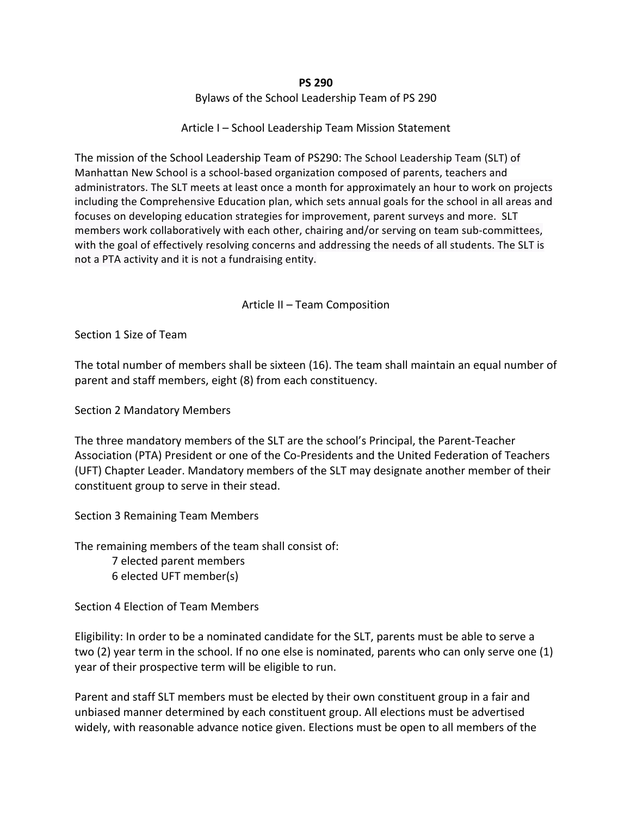#### **PS 290**

Bylaws of the School Leadership Team of PS 290

Article I – School Leadership Team Mission Statement

The mission of the School Leadership Team of PS290: The School Leadership Team (SLT) of Manhattan New School is a school-based organization composed of parents, teachers and administrators. The SLT meets at least once a month for approximately an hour to work on projects including the Comprehensive Education plan, which sets annual goals for the school in all areas and focuses on developing education strategies for improvement, parent surveys and more. SLT members work collaboratively with each other, chairing and/or serving on team sub-committees, with the goal of effectively resolving concerns and addressing the needs of all students. The SLT is not a PTA activity and it is not a fundraising entity.

#### Article II – Team Composition

Section 1 Size of Team

The total number of members shall be sixteen (16). The team shall maintain an equal number of parent and staff members, eight (8) from each constituency.

Section 2 Mandatory Members

The three mandatory members of the SLT are the school's Principal, the Parent-Teacher Association (PTA) President or one of the Co-Presidents and the United Federation of Teachers (UFT) Chapter Leader. Mandatory members of the SLT may designate another member of their constituent group to serve in their stead.

Section 3 Remaining Team Members

The remaining members of the team shall consist of:

7 elected parent members

6 elected UFT member(s)

Section 4 Election of Team Members

Eligibility: In order to be a nominated candidate for the SLT, parents must be able to serve a two  $(2)$  year term in the school. If no one else is nominated, parents who can only serve one  $(1)$ year of their prospective term will be eligible to run.

Parent and staff SLT members must be elected by their own constituent group in a fair and unbiased manner determined by each constituent group. All elections must be advertised widely, with reasonable advance notice given. Elections must be open to all members of the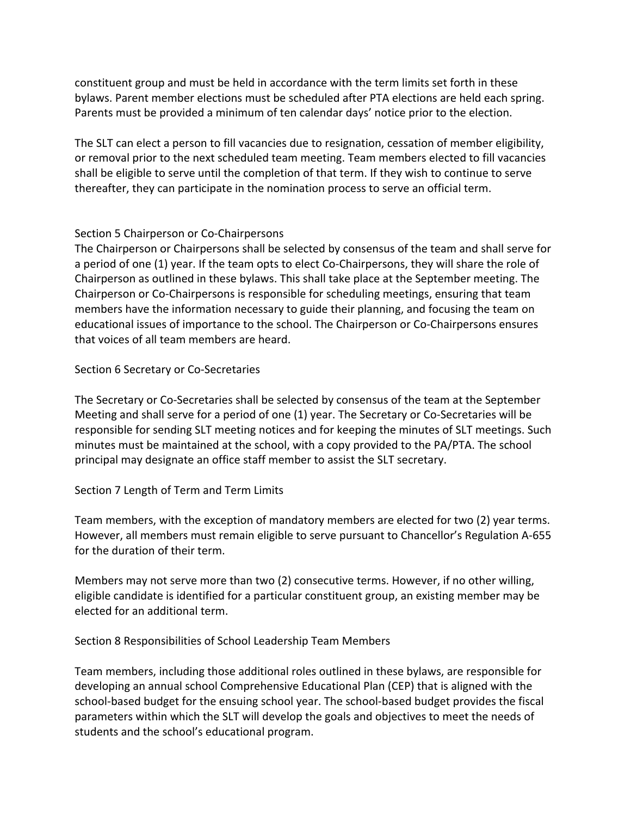constituent group and must be held in accordance with the term limits set forth in these bylaws. Parent member elections must be scheduled after PTA elections are held each spring. Parents must be provided a minimum of ten calendar days' notice prior to the election.

The SLT can elect a person to fill vacancies due to resignation, cessation of member eligibility, or removal prior to the next scheduled team meeting. Team members elected to fill vacancies shall be eligible to serve until the completion of that term. If they wish to continue to serve thereafter, they can participate in the nomination process to serve an official term.

#### Section 5 Chairperson or Co-Chairpersons

The Chairperson or Chairpersons shall be selected by consensus of the team and shall serve for a period of one (1) year. If the team opts to elect Co-Chairpersons, they will share the role of Chairperson as outlined in these bylaws. This shall take place at the September meeting. The Chairperson or Co-Chairpersons is responsible for scheduling meetings, ensuring that team members have the information necessary to guide their planning, and focusing the team on educational issues of importance to the school. The Chairperson or Co-Chairpersons ensures that voices of all team members are heard.

Section 6 Secretary or Co-Secretaries

The Secretary or Co-Secretaries shall be selected by consensus of the team at the September Meeting and shall serve for a period of one  $(1)$  year. The Secretary or Co-Secretaries will be responsible for sending SLT meeting notices and for keeping the minutes of SLT meetings. Such minutes must be maintained at the school, with a copy provided to the PA/PTA. The school principal may designate an office staff member to assist the SLT secretary.

## Section 7 Length of Term and Term Limits

Team members, with the exception of mandatory members are elected for two (2) year terms. However, all members must remain eligible to serve pursuant to Chancellor's Regulation A-655 for the duration of their term.

Members may not serve more than two  $(2)$  consecutive terms. However, if no other willing, eligible candidate is identified for a particular constituent group, an existing member may be elected for an additional term.

Section 8 Responsibilities of School Leadership Team Members

Team members, including those additional roles outlined in these bylaws, are responsible for developing an annual school Comprehensive Educational Plan (CEP) that is aligned with the school-based budget for the ensuing school year. The school-based budget provides the fiscal parameters within which the SLT will develop the goals and objectives to meet the needs of students and the school's educational program.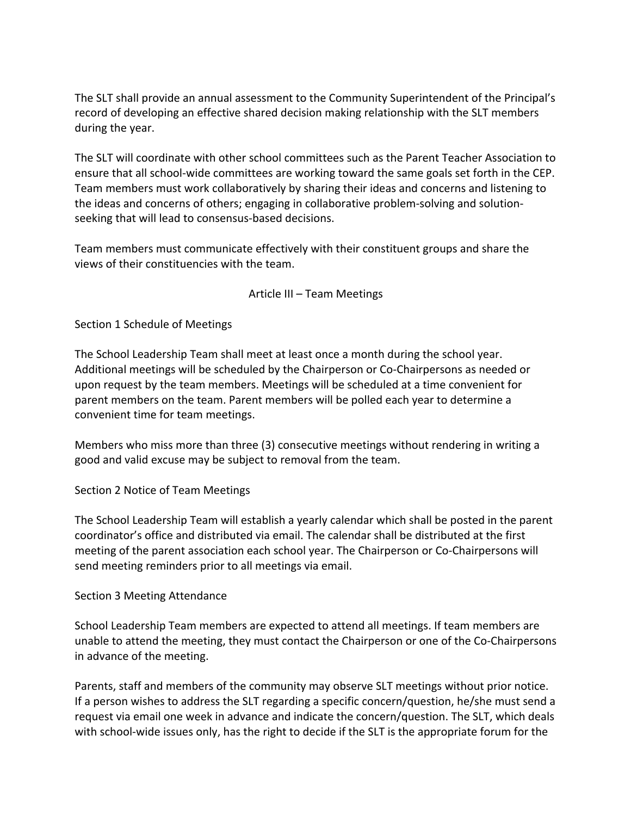The SLT shall provide an annual assessment to the Community Superintendent of the Principal's record of developing an effective shared decision making relationship with the SLT members during the year.

The SLT will coordinate with other school committees such as the Parent Teacher Association to ensure that all school-wide committees are working toward the same goals set forth in the CEP. Team members must work collaboratively by sharing their ideas and concerns and listening to the ideas and concerns of others; engaging in collaborative problem-solving and solutionseeking that will lead to consensus-based decisions.

Team members must communicate effectively with their constituent groups and share the views of their constituencies with the team.

#### Article III - Team Meetings

Section 1 Schedule of Meetings

The School Leadership Team shall meet at least once a month during the school year. Additional meetings will be scheduled by the Chairperson or Co-Chairpersons as needed or upon request by the team members. Meetings will be scheduled at a time convenient for parent members on the team. Parent members will be polled each year to determine a convenient time for team meetings.

Members who miss more than three (3) consecutive meetings without rendering in writing a good and valid excuse may be subject to removal from the team.

Section 2 Notice of Team Meetings

The School Leadership Team will establish a yearly calendar which shall be posted in the parent coordinator's office and distributed via email. The calendar shall be distributed at the first meeting of the parent association each school year. The Chairperson or Co-Chairpersons will send meeting reminders prior to all meetings via email.

#### Section 3 Meeting Attendance

School Leadership Team members are expected to attend all meetings. If team members are unable to attend the meeting, they must contact the Chairperson or one of the Co-Chairpersons in advance of the meeting.

Parents, staff and members of the community may observe SLT meetings without prior notice. If a person wishes to address the SLT regarding a specific concern/question, he/she must send a request via email one week in advance and indicate the concern/question. The SLT, which deals with school-wide issues only, has the right to decide if the SLT is the appropriate forum for the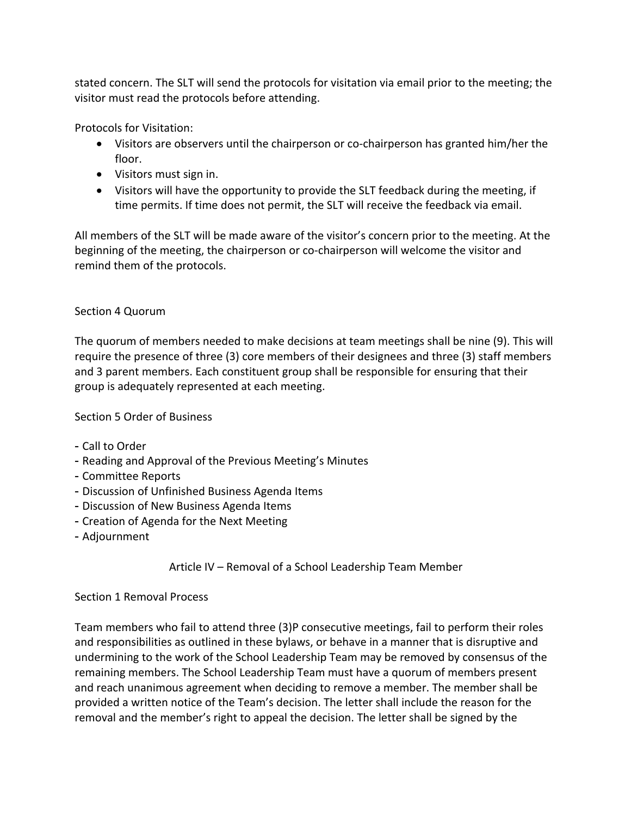stated concern. The SLT will send the protocols for visitation via email prior to the meeting; the visitor must read the protocols before attending.

Protocols for Visitation:

- Visitors are observers until the chairperson or co-chairperson has granted him/her the floor.
- Visitors must sign in.
- Visitors will have the opportunity to provide the SLT feedback during the meeting, if time permits. If time does not permit, the SLT will receive the feedback via email.

All members of the SLT will be made aware of the visitor's concern prior to the meeting. At the beginning of the meeting, the chairperson or co-chairperson will welcome the visitor and remind them of the protocols.

# Section 4 Quorum

The quorum of members needed to make decisions at team meetings shall be nine (9). This will require the presence of three (3) core members of their designees and three (3) staff members and 3 parent members. Each constituent group shall be responsible for ensuring that their group is adequately represented at each meeting.

Section 5 Order of Business

- Call to Order
- Reading and Approval of the Previous Meeting's Minutes
- Committee Reports
- Discussion of Unfinished Business Agenda Items
- Discussion of New Business Agenda Items
- Creation of Agenda for the Next Meeting
- Adjournment

Article IV – Removal of a School Leadership Team Member

## Section 1 Removal Process

Team members who fail to attend three (3)P consecutive meetings, fail to perform their roles and responsibilities as outlined in these bylaws, or behave in a manner that is disruptive and undermining to the work of the School Leadership Team may be removed by consensus of the remaining members. The School Leadership Team must have a quorum of members present and reach unanimous agreement when deciding to remove a member. The member shall be provided a written notice of the Team's decision. The letter shall include the reason for the removal and the member's right to appeal the decision. The letter shall be signed by the